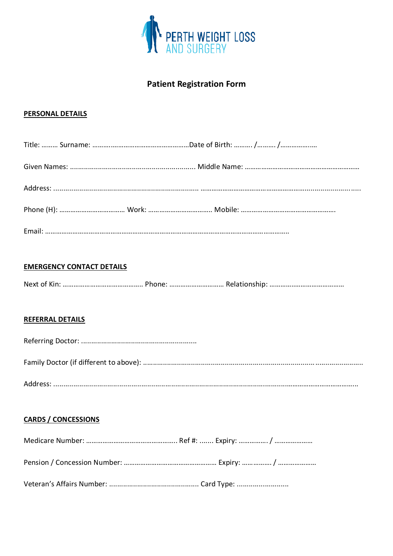

# **Patient Registration Form**

## **PERSONAL DETAILS**

## **EMERGENCY CONTACT DETAILS**

|--|--|--|--|

#### **REFERRAL DETAILS**

## **CARDS / CONCESSIONS**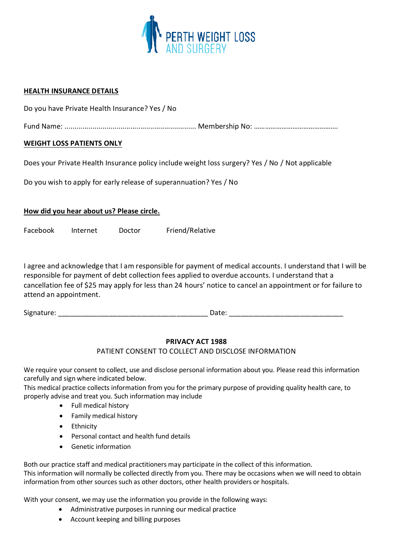

#### **HEALTH INSURANCE DETAILS**

Do you have Private Health Insurance? Yes / No

Fund Name: .................................................................. Membership No: ……………………………………….

### **WEIGHT LOSS PATIENTS ONLY**

Does your Private Health Insurance policy include weight loss surgery? Yes / No / Not applicable

Do you wish to apply for early release of superannuation? Yes / No

#### **How did you hear about us? Please circle.**

Facebook Internet Doctor Friend/Relative

I agree and acknowledge that I am responsible for payment of medical accounts. I understand that I will be responsible for payment of debt collection fees applied to overdue accounts. I understand that a cancellation fee of \$25 may apply for less than 24 hours' notice to cancel an appointment or for failure to attend an appointment.

Signature: \_\_\_\_\_\_\_\_\_\_\_\_\_\_\_\_\_\_\_\_\_\_\_\_\_\_\_\_\_\_\_\_\_\_\_\_\_\_ Date: \_\_\_\_\_\_\_\_\_\_\_\_\_\_\_\_\_\_\_\_\_\_\_\_\_\_\_\_\_

#### **PRIVACY ACT 1988**

#### PATIENT CONSENT TO COLLECT AND DISCLOSE INFORMATION

We require your consent to collect, use and disclose personal information about you. Please read this information carefully and sign where indicated below.

This medical practice collects information from you for the primary purpose of providing quality health care, to properly advise and treat you. Such information may include

- Full medical history
- Family medical history
- Ethnicity
- Personal contact and health fund details
- Genetic information

Both our practice staff and medical practitioners may participate in the collect of this information. This information will normally be collected directly from you. There may be occasions when we will need to obtain information from other sources such as other doctors, other health providers or hospitals.

With your consent, we may use the information you provide in the following ways:

- Administrative purposes in running our medical practice
- Account keeping and billing purposes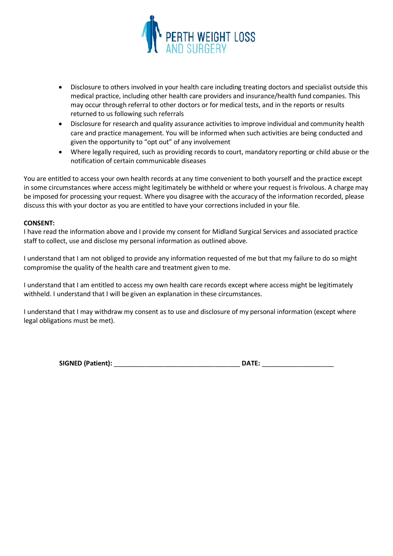

- Disclosure to others involved in your health care including treating doctors and specialist outside this medical practice, including other health care providers and insurance/health fund companies. This may occur through referral to other doctors or for medical tests, and in the reports or results returned to us following such referrals
- Disclosure for research and quality assurance activities to improve individual and community health care and practice management. You will be informed when such activities are being conducted and given the opportunity to "opt out" of any involvement
- Where legally required, such as providing records to court, mandatory reporting or child abuse or the notification of certain communicable diseases

You are entitled to access your own health records at any time convenient to both yourself and the practice except in some circumstances where access might legitimately be withheld or where your request is frivolous. A charge may be imposed for processing your request. Where you disagree with the accuracy of the information recorded, please discuss this with your doctor as you are entitled to have your corrections included in your file.

#### **CONSENT:**

I have read the information above and I provide my consent for Midland Surgical Services and associated practice staff to collect, use and disclose my personal information as outlined above.

I understand that I am not obliged to provide any information requested of me but that my failure to do so might compromise the quality of the health care and treatment given to me.

I understand that I am entitled to access my own health care records except where access might be legitimately withheld. I understand that I will be given an explanation in these circumstances.

I understand that I may withdraw my consent as to use and disclosure of my personal information (except where legal obligations must be met).

|  | <b>SIGNED (Patient):</b> |  |  |
|--|--------------------------|--|--|
|--|--------------------------|--|--|